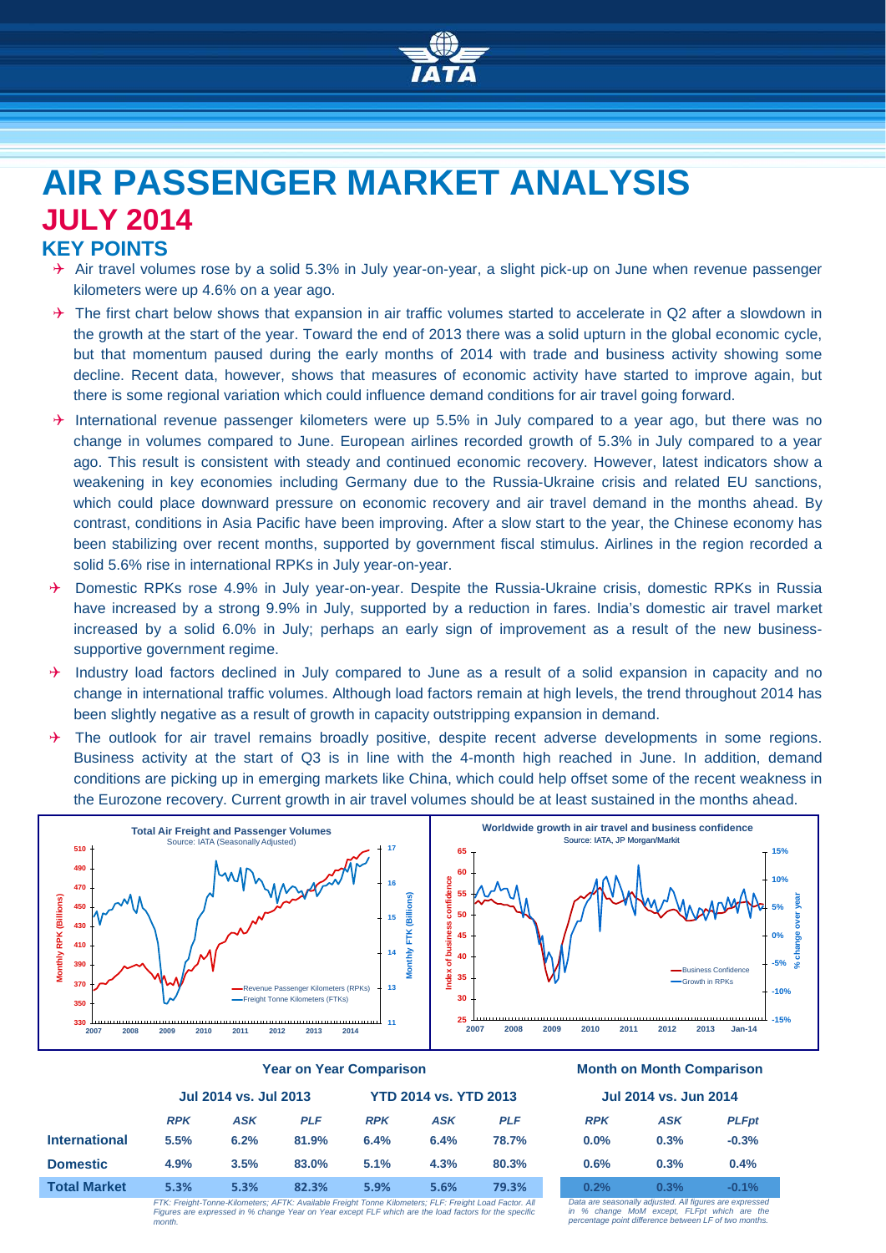

# **AIR PASSENGER MARKET ANALYSIS JULY 2014**

## **KEY POINTS**

- $\rightarrow$  Air travel volumes rose by a solid 5.3% in July year-on-year, a slight pick-up on June when revenue passenger kilometers were up 4.6% on a year ago.
- $\rightarrow$  The first chart below shows that expansion in air traffic volumes started to accelerate in Q2 after a slowdown in the growth at the start of the year. Toward the end of 2013 there was a solid upturn in the global economic cycle, but that momentum paused during the early months of 2014 with trade and business activity showing some decline. Recent data, however, shows that measures of economic activity have started to improve again, but there is some regional variation which could influence demand conditions for air travel going forward.
- $\rightarrow$  International revenue passenger kilometers were up 5.5% in July compared to a year ago, but there was no change in volumes compared to June. European airlines recorded growth of 5.3% in July compared to a year ago. This result is consistent with steady and continued economic recovery. However, latest indicators show a weakening in key economies including Germany due to the Russia-Ukraine crisis and related EU sanctions, which could place downward pressure on economic recovery and air travel demand in the months ahead. By contrast, conditions in Asia Pacific have been improving. After a slow start to the year, the Chinese economy has been stabilizing over recent months, supported by government fiscal stimulus. Airlines in the region recorded a solid 5.6% rise in international RPKs in July year-on-year.
- → Domestic RPKs rose 4.9% in July year-on-year. Despite the Russia-Ukraine crisis, domestic RPKs in Russia have increased by a strong 9.9% in July, supported by a reduction in fares. India's domestic air travel market increased by a solid 6.0% in July; perhaps an early sign of improvement as a result of the new businesssupportive government regime.
- $\rightarrow$  Industry load factors declined in July compared to June as a result of a solid expansion in capacity and no change in international traffic volumes. Although load factors remain at high levels, the trend throughout 2014 has been slightly negative as a result of growth in capacity outstripping expansion in demand.
- $\rightarrow$  The outlook for air travel remains broadly positive, despite recent adverse developments in some regions. Business activity at the start of Q3 is in line with the 4-month high reached in June. In addition, demand conditions are picking up in emerging markets like China, which could help offset some of the recent weakness in the Eurozone recovery. Current growth in air travel volumes should be at least sustained in the months ahead.



|                      | <b>Jul 2014 vs. Jul 2013</b> |            |            | <b>YTD 2014 vs. YTD 2013</b> |            |            | <b>Jul 2014 vs. Jun 2014</b> |                                                                                                                                                                                                                                   |             |
|----------------------|------------------------------|------------|------------|------------------------------|------------|------------|------------------------------|-----------------------------------------------------------------------------------------------------------------------------------------------------------------------------------------------------------------------------------|-------------|
|                      |                              |            |            |                              |            |            |                              |                                                                                                                                                                                                                                   |             |
|                      | <b>RPK</b>                   | <b>ASK</b> | <b>PLF</b> | <b>RPK</b>                   | <b>ASK</b> | <b>PLF</b> | <b>RPK</b>                   | <b>ASK</b>                                                                                                                                                                                                                        | <b>PLFp</b> |
| <b>International</b> | 5.5%                         | 6.2%       | 81.9%      | 6.4%                         | 6.4%       | 78.7%      | $0.0\%$                      | 0.3%                                                                                                                                                                                                                              | $-0.3%$     |
| <b>Domestic</b>      | 4.9%                         | 3.5%       | 83.0%      | 5.1%                         | 4.3%       | 80.3%      | 0.6%                         | 0.3%                                                                                                                                                                                                                              | 0.4%        |
| <b>Total Market</b>  | 5.3%                         | 5.3%       | 82.3%      | 5.9%                         | 5.6%       | 79.3%      | 0.2%                         | 0.3%                                                                                                                                                                                                                              | $-0.1%$     |
|                      |                              |            |            |                              |            |            |                              | $\mathbb{R}$ . The contract of the contract of the contract of the contract of the contract of the contract of the contract of the contract of the contract of the contract of the contract of the contract of the contract of th |             |

*FTK: Freight-Tonne-Kilometers; AFTK: Available Freight Tonne Kilometers; FLF: Freight Load Factor. All Figures are expressed in % change Year on Year except FLF which are the load factors for the specific month.*

#### **Year on Year Comparison Month on Month Comparison**

#### **Jul 2014 vs. Jul 2013 YTD 2014 vs. YTD 2013 Jul 2014 vs. Jun 2014**

| <b>RPK</b> | ASK  | <b>PLFpt</b> |
|------------|------|--------------|
| $0.0\%$    | 0.3% | $-0.3%$      |
| 0.6%       | 0.3% | 0.4%         |
| 0.2%       | 0.3% | $-0.1%$      |

*Data are seasonally adjusted. All figures are expressed in % change MoM except, FLFpt which are the percentage point difference between LF of two months.*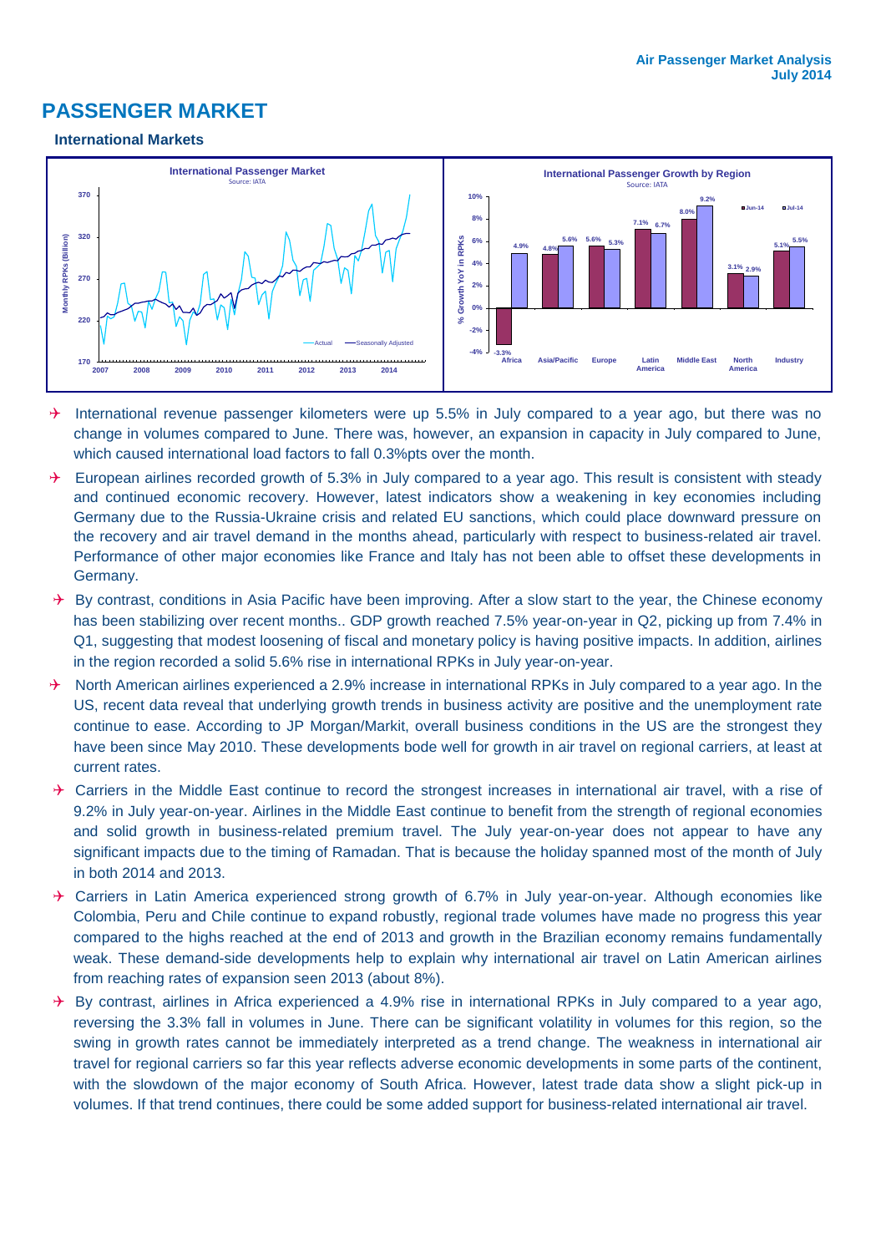## **PASSENGER MARKET**

#### **International Markets**



- $\rightarrow$  International revenue passenger kilometers were up 5.5% in July compared to a year ago, but there was no change in volumes compared to June. There was, however, an expansion in capacity in July compared to June, which caused international load factors to fall 0.3%pts over the month.
- $\rightarrow$  European airlines recorded growth of 5.3% in July compared to a year ago. This result is consistent with steady and continued economic recovery. However, latest indicators show a weakening in key economies including Germany due to the Russia-Ukraine crisis and related EU sanctions, which could place downward pressure on the recovery and air travel demand in the months ahead, particularly with respect to business-related air travel. Performance of other major economies like France and Italy has not been able to offset these developments in Germany.
- $\rightarrow$  By contrast, conditions in Asia Pacific have been improving. After a slow start to the year, the Chinese economy has been stabilizing over recent months.. GDP growth reached 7.5% year-on-year in Q2, picking up from 7.4% in Q1, suggesting that modest loosening of fiscal and monetary policy is having positive impacts. In addition, airlines in the region recorded a solid 5.6% rise in international RPKs in July year-on-year.
- $\rightarrow$  North American airlines experienced a 2.9% increase in international RPKs in July compared to a year ago. In the US, recent data reveal that underlying growth trends in business activity are positive and the unemployment rate continue to ease. According to JP Morgan/Markit, overall business conditions in the US are the strongest they have been since May 2010. These developments bode well for growth in air travel on regional carriers, at least at current rates.
- $\rightarrow$  Carriers in the Middle East continue to record the strongest increases in international air travel, with a rise of 9.2% in July year-on-year. Airlines in the Middle East continue to benefit from the strength of regional economies and solid growth in business-related premium travel. The July year-on-year does not appear to have any significant impacts due to the timing of Ramadan. That is because the holiday spanned most of the month of July in both 2014 and 2013.
- $\rightarrow$  Carriers in Latin America experienced strong growth of 6.7% in July year-on-year. Although economies like Colombia, Peru and Chile continue to expand robustly, regional trade volumes have made no progress this year compared to the highs reached at the end of 2013 and growth in the Brazilian economy remains fundamentally weak. These demand-side developments help to explain why international air travel on Latin American airlines from reaching rates of expansion seen 2013 (about 8%).
- $\rightarrow$  By contrast, airlines in Africa experienced a 4.9% rise in international RPKs in July compared to a year ago, reversing the 3.3% fall in volumes in June. There can be significant volatility in volumes for this region, so the swing in growth rates cannot be immediately interpreted as a trend change. The weakness in international air travel for regional carriers so far this year reflects adverse economic developments in some parts of the continent, with the slowdown of the major economy of South Africa. However, latest trade data show a slight pick-up in volumes. If that trend continues, there could be some added support for business-related international air travel.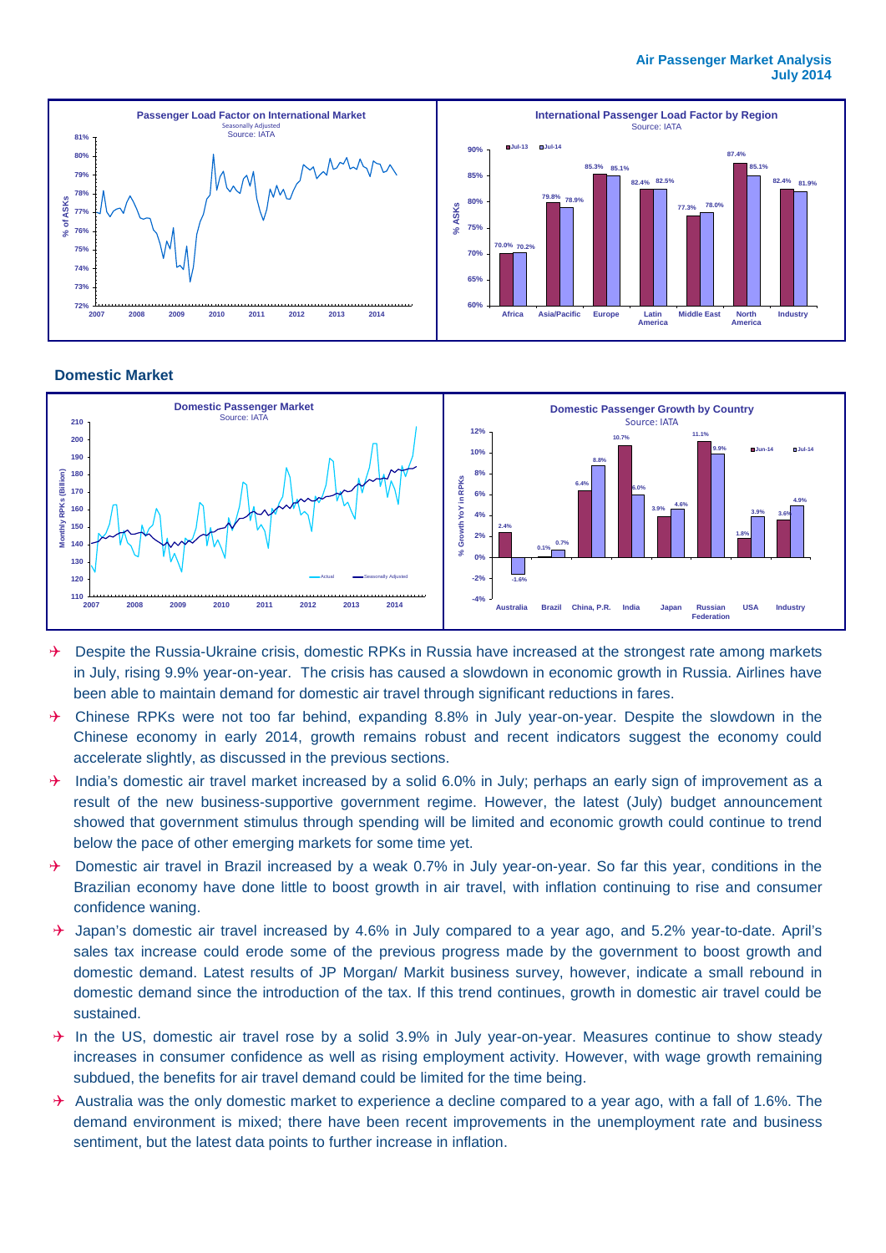

#### **Domestic Market**



- $\rightarrow$  Despite the Russia-Ukraine crisis, domestic RPKs in Russia have increased at the strongest rate among markets in July, rising 9.9% year-on-year. The crisis has caused a slowdown in economic growth in Russia. Airlines have been able to maintain demand for domestic air travel through significant reductions in fares.
- Chinese RPKs were not too far behind, expanding 8.8% in July year-on-year. Despite the slowdown in the Chinese economy in early 2014, growth remains robust and recent indicators suggest the economy could accelerate slightly, as discussed in the previous sections.
- $\rightarrow$  India's domestic air travel market increased by a solid 6.0% in July; perhaps an early sign of improvement as a result of the new business-supportive government regime. However, the latest (July) budget announcement showed that government stimulus through spending will be limited and economic growth could continue to trend below the pace of other emerging markets for some time yet.
- → Domestic air travel in Brazil increased by a weak 0.7% in July year-on-year. So far this year, conditions in the Brazilian economy have done little to boost growth in air travel, with inflation continuing to rise and consumer confidence waning.
- $\rightarrow$  Japan's domestic air travel increased by 4.6% in July compared to a year ago, and 5.2% year-to-date. April's sales tax increase could erode some of the previous progress made by the government to boost growth and domestic demand. Latest results of JP Morgan/ Markit business survey, however, indicate a small rebound in domestic demand since the introduction of the tax. If this trend continues, growth in domestic air travel could be sustained.
- $\rightarrow$  In the US, domestic air travel rose by a solid 3.9% in July year-on-year. Measures continue to show steady increases in consumer confidence as well as rising employment activity. However, with wage growth remaining subdued, the benefits for air travel demand could be limited for the time being.
- $\rightarrow$  Australia was the only domestic market to experience a decline compared to a year ago, with a fall of 1.6%. The demand environment is mixed; there have been recent improvements in the unemployment rate and business sentiment, but the latest data points to further increase in inflation.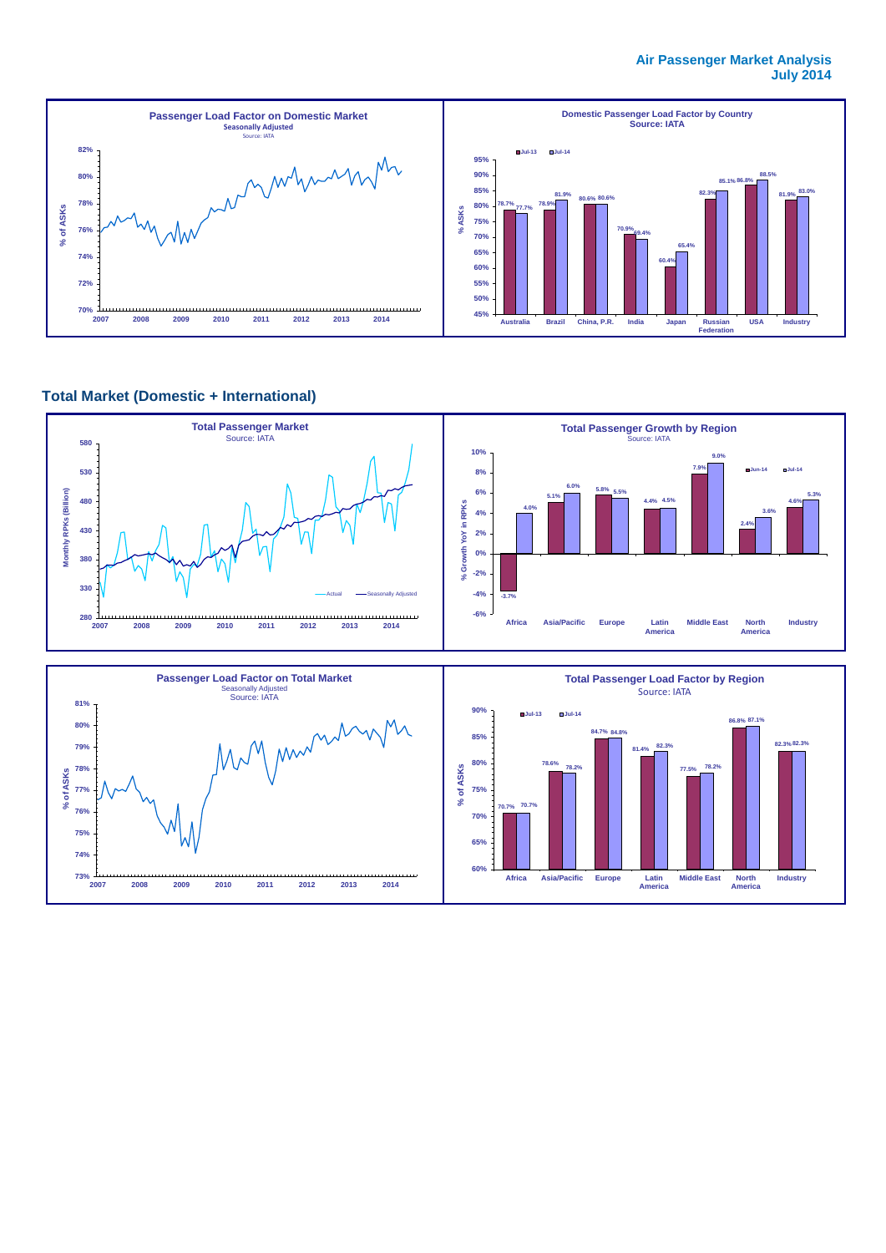#### **Air Passenger Market Analysis July 2014**



#### **Total Market (Domestic + International)**

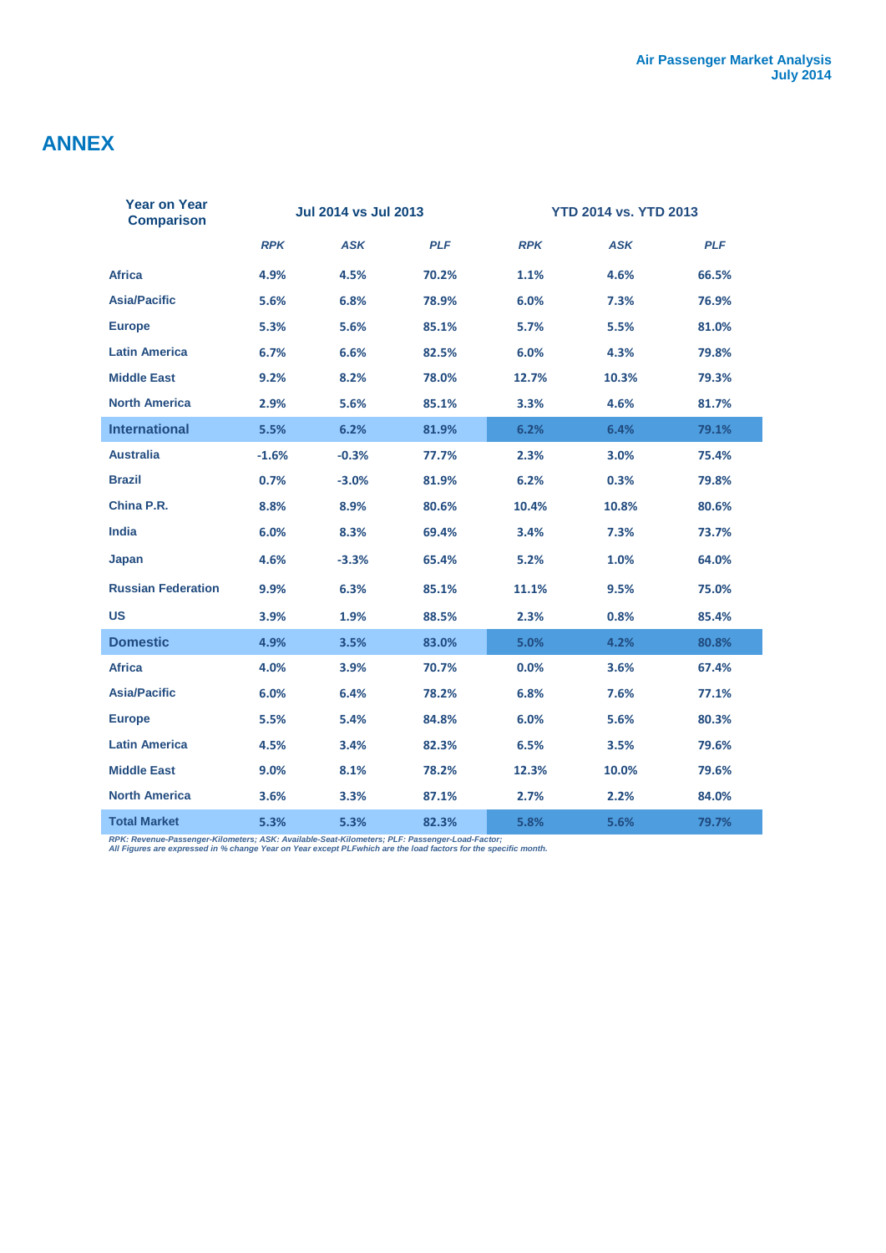# **ANNEX**

I

| Year on Year<br><b>Comparison</b> |            | <b>Jul 2014 vs Jul 2013</b> |            | <b>YTD 2014 vs. YTD 2013</b> |            |            |  |
|-----------------------------------|------------|-----------------------------|------------|------------------------------|------------|------------|--|
|                                   | <b>RPK</b> | <b>ASK</b>                  | <b>PLF</b> | <b>RPK</b>                   | <b>ASK</b> | <b>PLF</b> |  |
| <b>Africa</b>                     | 4.9%       | 4.5%                        | 70.2%      | 1.1%                         | 4.6%       | 66.5%      |  |
| <b>Asia/Pacific</b>               | 5.6%       | 6.8%                        | 78.9%      | 6.0%                         | 7.3%       | 76.9%      |  |
| <b>Europe</b>                     | 5.3%       | 5.6%                        | 85.1%      | 5.7%                         | 5.5%       | 81.0%      |  |
| <b>Latin America</b>              | 6.7%       | 6.6%                        | 82.5%      | 6.0%                         | 4.3%       | 79.8%      |  |
| <b>Middle East</b>                | 9.2%       | 8.2%                        | 78.0%      | 12.7%                        | 10.3%      | 79.3%      |  |
| <b>North America</b>              | 2.9%       | 5.6%                        | 85.1%      | 3.3%                         | 4.6%       | 81.7%      |  |
| <b>International</b>              | 5.5%       | 6.2%                        | 81.9%      | 6.2%                         | 6.4%       | 79.1%      |  |
| <b>Australia</b>                  | $-1.6%$    | $-0.3%$                     | 77.7%      | 2.3%                         | 3.0%       | 75.4%      |  |
| <b>Brazil</b>                     | 0.7%       | $-3.0%$                     | 81.9%      | 6.2%                         | 0.3%       | 79.8%      |  |
| China P.R.                        | 8.8%       | 8.9%                        | 80.6%      | 10.4%                        | 10.8%      | 80.6%      |  |
| India                             | 6.0%       | 8.3%                        | 69.4%      | 3.4%                         | 7.3%       | 73.7%      |  |
| Japan                             | 4.6%       | $-3.3%$                     | 65.4%      | 5.2%                         | 1.0%       | 64.0%      |  |
| <b>Russian Federation</b>         | 9.9%       | 6.3%                        | 85.1%      | 11.1%                        | 9.5%       | 75.0%      |  |
| <b>US</b>                         | 3.9%       | 1.9%                        | 88.5%      | 2.3%                         | 0.8%       | 85.4%      |  |
| <b>Domestic</b>                   | 4.9%       | 3.5%                        | 83.0%      | 5.0%                         | 4.2%       | 80.8%      |  |
| <b>Africa</b>                     | 4.0%       | 3.9%                        | 70.7%      | 0.0%                         | 3.6%       | 67.4%      |  |
| <b>Asia/Pacific</b>               | 6.0%       | 6.4%                        | 78.2%      | 6.8%                         | 7.6%       | 77.1%      |  |
| <b>Europe</b>                     | 5.5%       | 5.4%                        | 84.8%      | 6.0%                         | 5.6%       | 80.3%      |  |
| <b>Latin America</b>              | 4.5%       | 3.4%                        | 82.3%      | 6.5%                         | 3.5%       | 79.6%      |  |
| <b>Middle East</b>                | $9.0\%$    | 8.1%                        | 78.2%      | 12.3%                        | 10.0%      | 79.6%      |  |
| <b>North America</b>              | 3.6%       | 3.3%                        | 87.1%      | 2.7%                         | 2.2%       | 84.0%      |  |
| <b>Total Market</b>               | 5.3%       | 5.3%                        | 82.3%      | 5.8%                         | 5.6%       | 79.7%      |  |

*RPK: Revenue-Passenger-Kilometers; ASK: Available-Seat-Kilometers; PLF: Passenger-Load-Factor; All Figures are expressed in % change Year on Year except PLFwhich are the load factors for the specific month.*